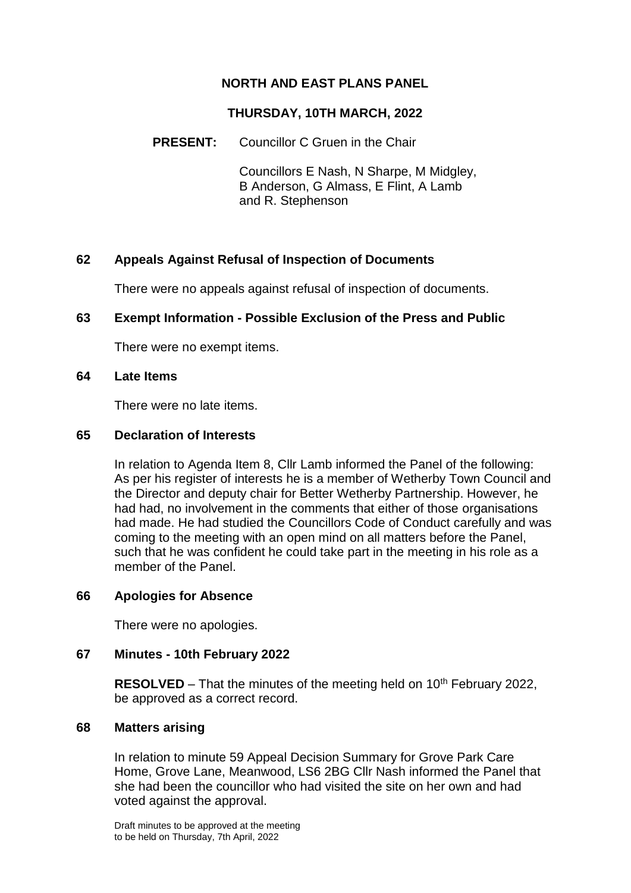## **NORTH AND EAST PLANS PANEL**

#### **THURSDAY, 10TH MARCH, 2022**

### **PRESENT:** Councillor C Gruen in the Chair

Councillors E Nash, N Sharpe, M Midgley, B Anderson, G Almass, E Flint, A Lamb and R. Stephenson

### **62 Appeals Against Refusal of Inspection of Documents**

There were no appeals against refusal of inspection of documents.

### **63 Exempt Information - Possible Exclusion of the Press and Public**

There were no exempt items.

#### **64 Late Items**

There were no late items.

#### **65 Declaration of Interests**

In relation to Agenda Item 8, Cllr Lamb informed the Panel of the following: As per his register of interests he is a member of Wetherby Town Council and the Director and deputy chair for Better Wetherby Partnership. However, he had had, no involvement in the comments that either of those organisations had made. He had studied the Councillors Code of Conduct carefully and was coming to the meeting with an open mind on all matters before the Panel, such that he was confident he could take part in the meeting in his role as a member of the Panel.

### **66 Apologies for Absence**

There were no apologies.

### **67 Minutes - 10th February 2022**

**RESOLVED** – That the minutes of the meeting held on 10<sup>th</sup> February 2022, be approved as a correct record.

#### **68 Matters arising**

In relation to minute 59 Appeal Decision Summary for Grove Park Care Home, Grove Lane, Meanwood, LS6 2BG Cllr Nash informed the Panel that she had been the councillor who had visited the site on her own and had voted against the approval.

Draft minutes to be approved at the meeting to be held on Thursday, 7th April, 2022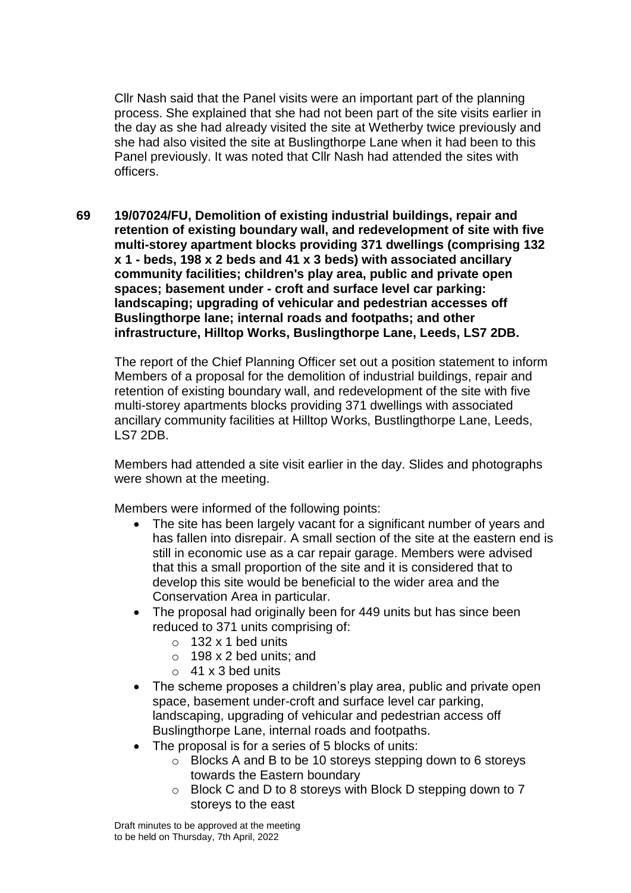Cllr Nash said that the Panel visits were an important part of the planning process. She explained that she had not been part of the site visits earlier in the day as she had already visited the site at Wetherby twice previously and she had also visited the site at Buslingthorpe Lane when it had been to this Panel previously. It was noted that Cllr Nash had attended the sites with officers.

**69 19/07024/FU, Demolition of existing industrial buildings, repair and retention of existing boundary wall, and redevelopment of site with five multi-storey apartment blocks providing 371 dwellings (comprising 132 x 1 - beds, 198 x 2 beds and 41 x 3 beds) with associated ancillary community facilities; children's play area, public and private open spaces; basement under - croft and surface level car parking: landscaping; upgrading of vehicular and pedestrian accesses off Buslingthorpe lane; internal roads and footpaths; and other infrastructure, Hilltop Works, Buslingthorpe Lane, Leeds, LS7 2DB.**

The report of the Chief Planning Officer set out a position statement to inform Members of a proposal for the demolition of industrial buildings, repair and retention of existing boundary wall, and redevelopment of the site with five multi-storey apartments blocks providing 371 dwellings with associated ancillary community facilities at Hilltop Works, Bustlingthorpe Lane, Leeds, LS7 2DB.

Members had attended a site visit earlier in the day. Slides and photographs were shown at the meeting.

Members were informed of the following points:

- The site has been largely vacant for a significant number of years and has fallen into disrepair. A small section of the site at the eastern end is still in economic use as a car repair garage. Members were advised that this a small proportion of the site and it is considered that to develop this site would be beneficial to the wider area and the Conservation Area in particular.
- The proposal had originally been for 449 units but has since been reduced to 371 units comprising of:
	- $\circ$  132 x 1 bed units
	- $\circ$  198 x 2 bed units; and
	- $\circ$  41 x 3 bed units
- The scheme proposes a children's play area, public and private open space, basement under-croft and surface level car parking, landscaping, upgrading of vehicular and pedestrian access off Buslingthorpe Lane, internal roads and footpaths.
- The proposal is for a series of 5 blocks of units:
	- o Blocks A and B to be 10 storeys stepping down to 6 storeys towards the Eastern boundary
	- o Block C and D to 8 storeys with Block D stepping down to 7 storeys to the east

Draft minutes to be approved at the meeting to be held on Thursday, 7th April, 2022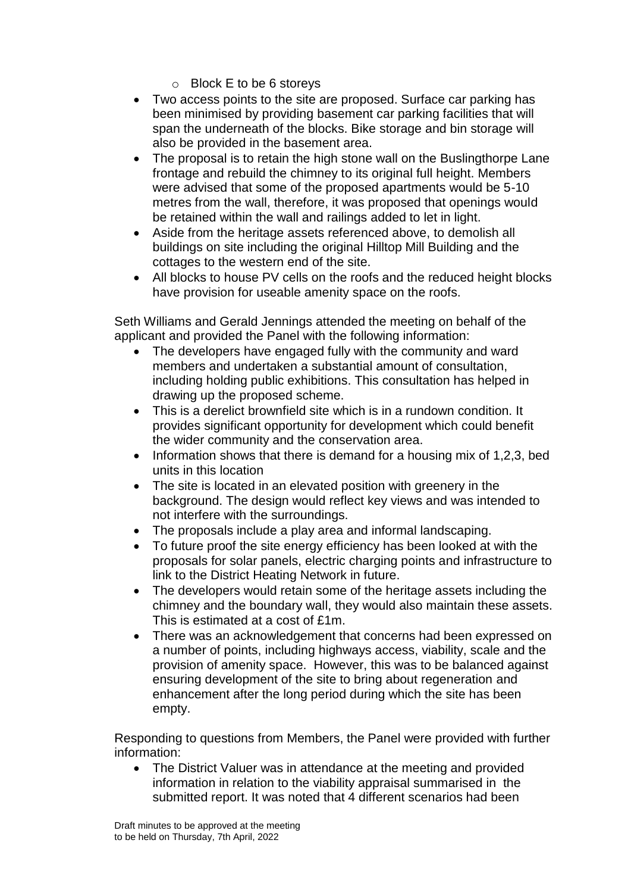- o Block E to be 6 storeys
- Two access points to the site are proposed. Surface car parking has been minimised by providing basement car parking facilities that will span the underneath of the blocks. Bike storage and bin storage will also be provided in the basement area.
- The proposal is to retain the high stone wall on the Buslingthorpe Lane frontage and rebuild the chimney to its original full height. Members were advised that some of the proposed apartments would be 5-10 metres from the wall, therefore, it was proposed that openings would be retained within the wall and railings added to let in light.
- Aside from the heritage assets referenced above, to demolish all buildings on site including the original Hilltop Mill Building and the cottages to the western end of the site.
- All blocks to house PV cells on the roofs and the reduced height blocks have provision for useable amenity space on the roofs.

Seth Williams and Gerald Jennings attended the meeting on behalf of the applicant and provided the Panel with the following information:

- The developers have engaged fully with the community and ward members and undertaken a substantial amount of consultation, including holding public exhibitions. This consultation has helped in drawing up the proposed scheme.
- This is a derelict brownfield site which is in a rundown condition. It provides significant opportunity for development which could benefit the wider community and the conservation area.
- $\bullet$  Information shows that there is demand for a housing mix of 1,2,3, bed units in this location
- The site is located in an elevated position with greenery in the background. The design would reflect key views and was intended to not interfere with the surroundings.
- The proposals include a play area and informal landscaping.
- To future proof the site energy efficiency has been looked at with the proposals for solar panels, electric charging points and infrastructure to link to the District Heating Network in future.
- The developers would retain some of the heritage assets including the chimney and the boundary wall, they would also maintain these assets. This is estimated at a cost of £1m.
- There was an acknowledgement that concerns had been expressed on a number of points, including highways access, viability, scale and the provision of amenity space. However, this was to be balanced against ensuring development of the site to bring about regeneration and enhancement after the long period during which the site has been empty.

Responding to questions from Members, the Panel were provided with further information:

• The District Valuer was in attendance at the meeting and provided information in relation to the viability appraisal summarised in the submitted report. It was noted that 4 different scenarios had been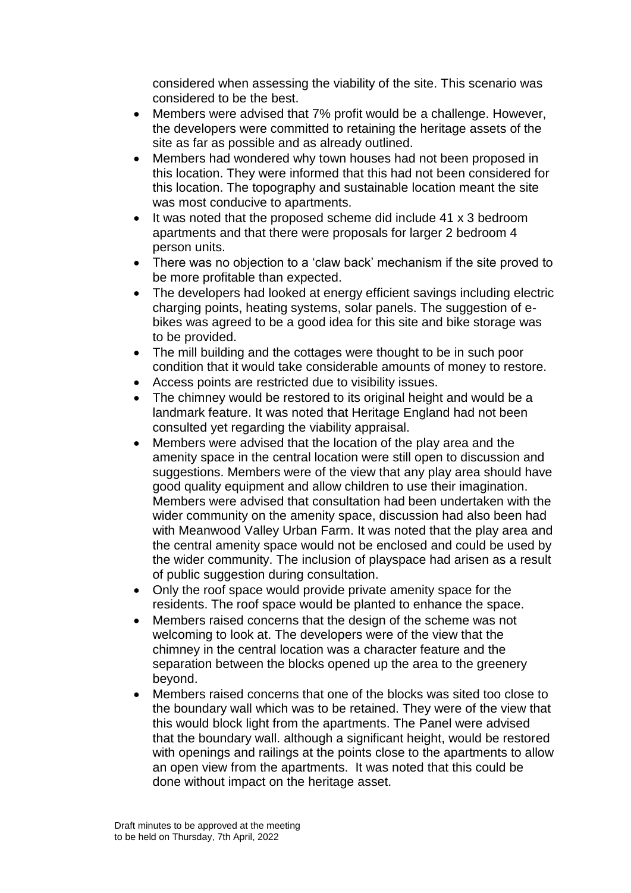considered when assessing the viability of the site. This scenario was considered to be the best.

- Members were advised that 7% profit would be a challenge. However, the developers were committed to retaining the heritage assets of the site as far as possible and as already outlined.
- Members had wondered why town houses had not been proposed in this location. They were informed that this had not been considered for this location. The topography and sustainable location meant the site was most conducive to apartments.
- It was noted that the proposed scheme did include 41 x 3 bedroom apartments and that there were proposals for larger 2 bedroom 4 person units.
- There was no objection to a 'claw back' mechanism if the site proved to be more profitable than expected.
- The developers had looked at energy efficient savings including electric charging points, heating systems, solar panels. The suggestion of ebikes was agreed to be a good idea for this site and bike storage was to be provided.
- The mill building and the cottages were thought to be in such poor condition that it would take considerable amounts of money to restore.
- Access points are restricted due to visibility issues.
- The chimney would be restored to its original height and would be a landmark feature. It was noted that Heritage England had not been consulted yet regarding the viability appraisal.
- Members were advised that the location of the play area and the amenity space in the central location were still open to discussion and suggestions. Members were of the view that any play area should have good quality equipment and allow children to use their imagination. Members were advised that consultation had been undertaken with the wider community on the amenity space, discussion had also been had with Meanwood Valley Urban Farm. It was noted that the play area and the central amenity space would not be enclosed and could be used by the wider community. The inclusion of playspace had arisen as a result of public suggestion during consultation.
- Only the roof space would provide private amenity space for the residents. The roof space would be planted to enhance the space.
- Members raised concerns that the design of the scheme was not welcoming to look at. The developers were of the view that the chimney in the central location was a character feature and the separation between the blocks opened up the area to the greenery beyond.
- Members raised concerns that one of the blocks was sited too close to the boundary wall which was to be retained. They were of the view that this would block light from the apartments. The Panel were advised that the boundary wall. although a significant height, would be restored with openings and railings at the points close to the apartments to allow an open view from the apartments. It was noted that this could be done without impact on the heritage asset.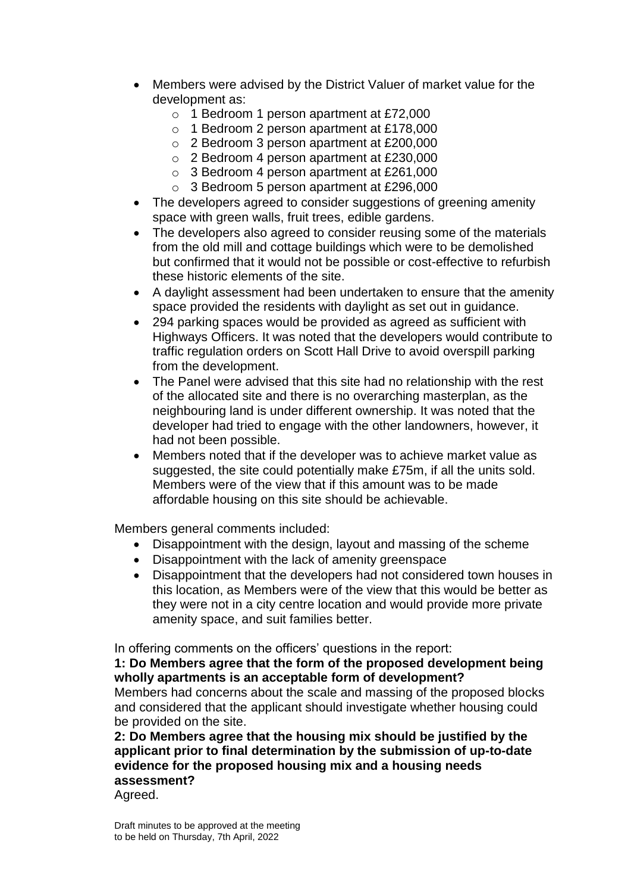- Members were advised by the District Valuer of market value for the development as:
	- o 1 Bedroom 1 person apartment at £72,000
	- o 1 Bedroom 2 person apartment at £178,000
	- o 2 Bedroom 3 person apartment at £200,000
	- o 2 Bedroom 4 person apartment at £230,000
	- o 3 Bedroom 4 person apartment at £261,000
	- o 3 Bedroom 5 person apartment at £296,000
- The developers agreed to consider suggestions of greening amenity space with green walls, fruit trees, edible gardens.
- The developers also agreed to consider reusing some of the materials from the old mill and cottage buildings which were to be demolished but confirmed that it would not be possible or cost-effective to refurbish these historic elements of the site.
- A daylight assessment had been undertaken to ensure that the amenity space provided the residents with daylight as set out in guidance.
- 294 parking spaces would be provided as agreed as sufficient with Highways Officers. It was noted that the developers would contribute to traffic regulation orders on Scott Hall Drive to avoid overspill parking from the development.
- The Panel were advised that this site had no relationship with the rest of the allocated site and there is no overarching masterplan, as the neighbouring land is under different ownership. It was noted that the developer had tried to engage with the other landowners, however, it had not been possible.
- Members noted that if the developer was to achieve market value as suggested, the site could potentially make £75m, if all the units sold. Members were of the view that if this amount was to be made affordable housing on this site should be achievable.

Members general comments included:

- Disappointment with the design, layout and massing of the scheme
- Disappointment with the lack of amenity greenspace
- Disappointment that the developers had not considered town houses in this location, as Members were of the view that this would be better as they were not in a city centre location and would provide more private amenity space, and suit families better.

In offering comments on the officers' questions in the report:

**1: Do Members agree that the form of the proposed development being wholly apartments is an acceptable form of development?**

Members had concerns about the scale and massing of the proposed blocks and considered that the applicant should investigate whether housing could be provided on the site.

**2: Do Members agree that the housing mix should be justified by the applicant prior to final determination by the submission of up-to-date evidence for the proposed housing mix and a housing needs assessment?**

Agreed.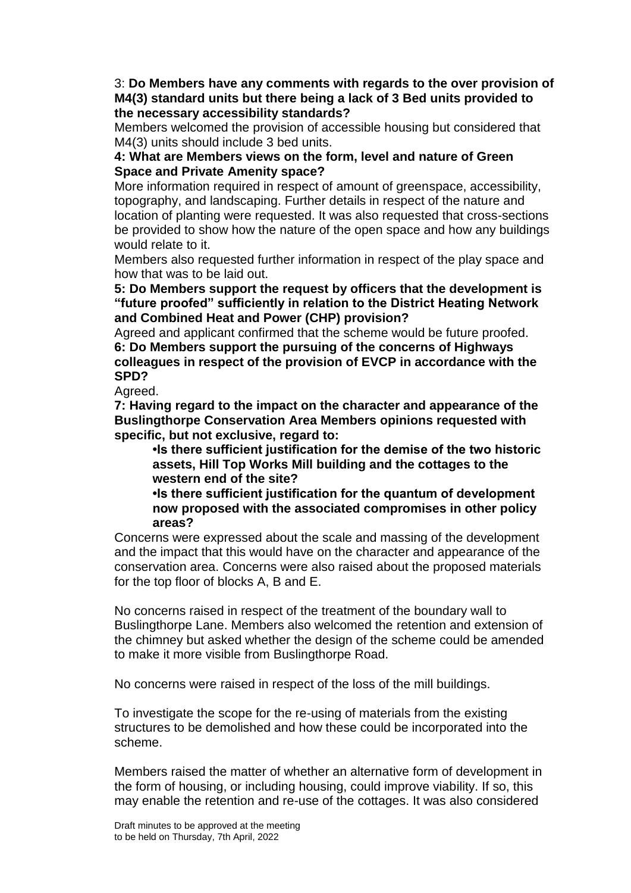3: **Do Members have any comments with regards to the over provision of M4(3) standard units but there being a lack of 3 Bed units provided to the necessary accessibility standards?**

Members welcomed the provision of accessible housing but considered that M4(3) units should include 3 bed units.

### **4: What are Members views on the form, level and nature of Green Space and Private Amenity space?**

More information required in respect of amount of greenspace, accessibility, topography, and landscaping. Further details in respect of the nature and location of planting were requested. It was also requested that cross-sections be provided to show how the nature of the open space and how any buildings would relate to it.

Members also requested further information in respect of the play space and how that was to be laid out.

**5: Do Members support the request by officers that the development is "future proofed" sufficiently in relation to the District Heating Network and Combined Heat and Power (CHP) provision?**

Agreed and applicant confirmed that the scheme would be future proofed. **6: Do Members support the pursuing of the concerns of Highways colleagues in respect of the provision of EVCP in accordance with the SPD?**

Agreed.

**7: Having regard to the impact on the character and appearance of the Buslingthorpe Conservation Area Members opinions requested with specific, but not exclusive, regard to:**

**•Is there sufficient justification for the demise of the two historic assets, Hill Top Works Mill building and the cottages to the western end of the site?**

**•Is there sufficient justification for the quantum of development now proposed with the associated compromises in other policy areas?**

Concerns were expressed about the scale and massing of the development and the impact that this would have on the character and appearance of the conservation area. Concerns were also raised about the proposed materials for the top floor of blocks A, B and E.

No concerns raised in respect of the treatment of the boundary wall to Buslingthorpe Lane. Members also welcomed the retention and extension of the chimney but asked whether the design of the scheme could be amended to make it more visible from Buslingthorpe Road.

No concerns were raised in respect of the loss of the mill buildings.

To investigate the scope for the re-using of materials from the existing structures to be demolished and how these could be incorporated into the scheme.

Members raised the matter of whether an alternative form of development in the form of housing, or including housing, could improve viability. If so, this may enable the retention and re-use of the cottages. It was also considered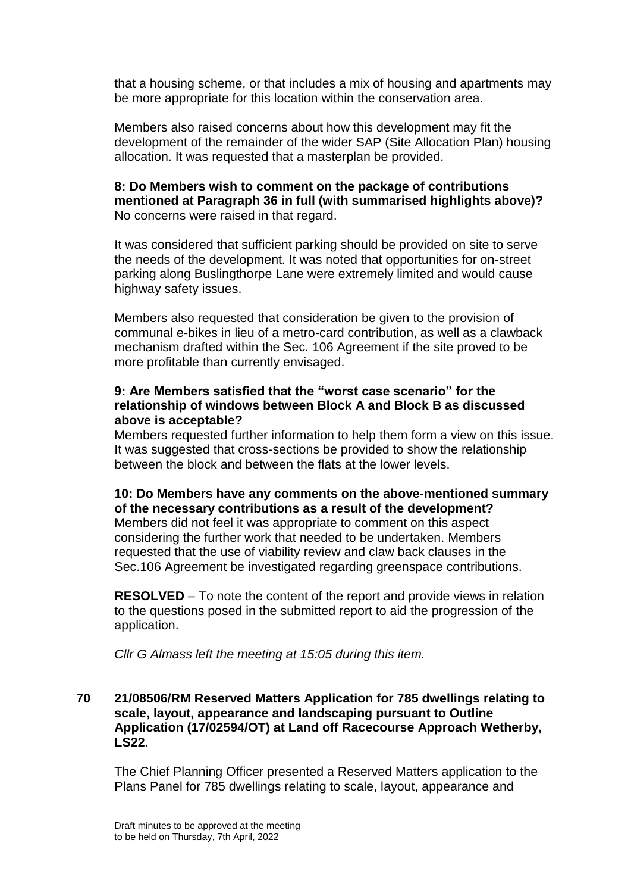that a housing scheme, or that includes a mix of housing and apartments may be more appropriate for this location within the conservation area.

Members also raised concerns about how this development may fit the development of the remainder of the wider SAP (Site Allocation Plan) housing allocation. It was requested that a masterplan be provided.

### **8: Do Members wish to comment on the package of contributions mentioned at Paragraph 36 in full (with summarised highlights above)?** No concerns were raised in that regard.

It was considered that sufficient parking should be provided on site to serve the needs of the development. It was noted that opportunities for on-street parking along Buslingthorpe Lane were extremely limited and would cause highway safety issues.

Members also requested that consideration be given to the provision of communal e-bikes in lieu of a metro-card contribution, as well as a clawback mechanism drafted within the Sec. 106 Agreement if the site proved to be more profitable than currently envisaged.

### **9: Are Members satisfied that the "worst case scenario" for the relationship of windows between Block A and Block B as discussed above is acceptable?**

Members requested further information to help them form a view on this issue. It was suggested that cross-sections be provided to show the relationship between the block and between the flats at the lower levels.

## **10: Do Members have any comments on the above-mentioned summary of the necessary contributions as a result of the development?**

Members did not feel it was appropriate to comment on this aspect considering the further work that needed to be undertaken. Members requested that the use of viability review and claw back clauses in the Sec.106 Agreement be investigated regarding greenspace contributions.

**RESOLVED** – To note the content of the report and provide views in relation to the questions posed in the submitted report to aid the progression of the application.

*Cllr G Almass left the meeting at 15:05 during this item.*

#### **70 21/08506/RM Reserved Matters Application for 785 dwellings relating to scale, layout, appearance and landscaping pursuant to Outline Application (17/02594/OT) at Land off Racecourse Approach Wetherby, LS22.**

The Chief Planning Officer presented a Reserved Matters application to the Plans Panel for 785 dwellings relating to scale, layout, appearance and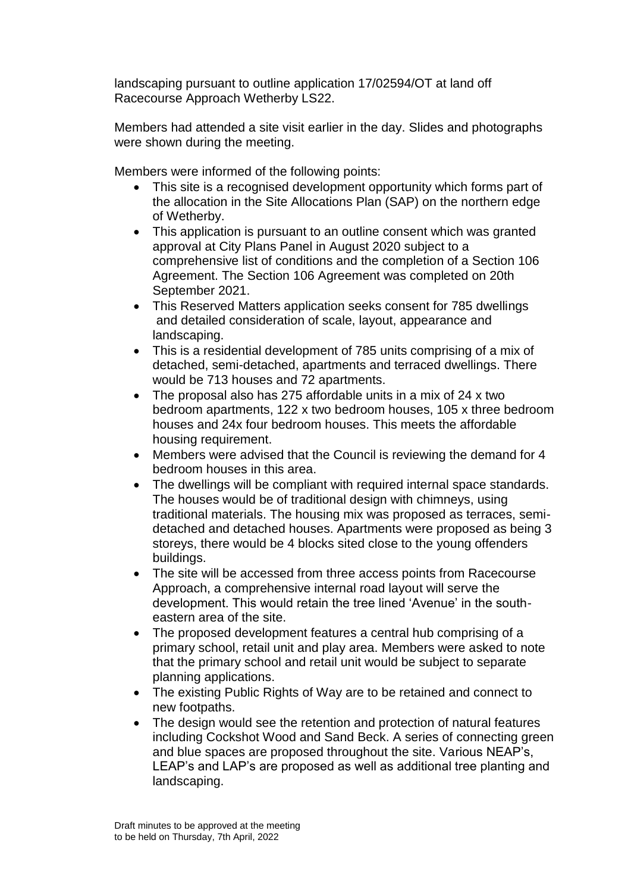landscaping pursuant to outline application 17/02594/OT at land off Racecourse Approach Wetherby LS22.

Members had attended a site visit earlier in the day. Slides and photographs were shown during the meeting.

Members were informed of the following points:

- This site is a recognised development opportunity which forms part of the allocation in the Site Allocations Plan (SAP) on the northern edge of Wetherby.
- This application is pursuant to an outline consent which was granted approval at City Plans Panel in August 2020 subject to a comprehensive list of conditions and the completion of a Section 106 Agreement. The Section 106 Agreement was completed on 20th September 2021.
- This Reserved Matters application seeks consent for 785 dwellings and detailed consideration of scale, layout, appearance and landscaping.
- This is a residential development of 785 units comprising of a mix of detached, semi-detached, apartments and terraced dwellings. There would be 713 houses and 72 apartments.
- The proposal also has 275 affordable units in a mix of 24 x two bedroom apartments, 122 x two bedroom houses, 105 x three bedroom houses and 24x four bedroom houses. This meets the affordable housing requirement.
- Members were advised that the Council is reviewing the demand for 4 bedroom houses in this area.
- The dwellings will be compliant with required internal space standards. The houses would be of traditional design with chimneys, using traditional materials. The housing mix was proposed as terraces, semidetached and detached houses. Apartments were proposed as being 3 storeys, there would be 4 blocks sited close to the young offenders buildings.
- The site will be accessed from three access points from Racecourse Approach, a comprehensive internal road layout will serve the development. This would retain the tree lined 'Avenue' in the southeastern area of the site.
- The proposed development features a central hub comprising of a primary school, retail unit and play area. Members were asked to note that the primary school and retail unit would be subject to separate planning applications.
- The existing Public Rights of Way are to be retained and connect to new footpaths.
- The design would see the retention and protection of natural features including Cockshot Wood and Sand Beck. A series of connecting green and blue spaces are proposed throughout the site. Various NEAP's, LEAP's and LAP's are proposed as well as additional tree planting and landscaping.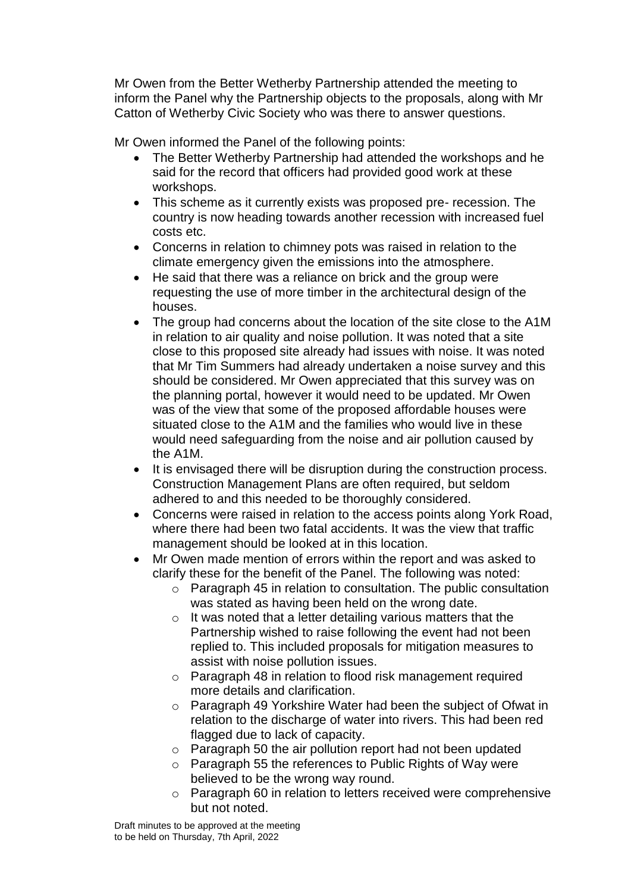Mr Owen from the Better Wetherby Partnership attended the meeting to inform the Panel why the Partnership objects to the proposals, along with Mr Catton of Wetherby Civic Society who was there to answer questions.

Mr Owen informed the Panel of the following points:

- The Better Wetherby Partnership had attended the workshops and he said for the record that officers had provided good work at these workshops.
- This scheme as it currently exists was proposed pre- recession. The country is now heading towards another recession with increased fuel costs etc.
- Concerns in relation to chimney pots was raised in relation to the climate emergency given the emissions into the atmosphere.
- He said that there was a reliance on brick and the group were requesting the use of more timber in the architectural design of the houses.
- The group had concerns about the location of the site close to the A1M in relation to air quality and noise pollution. It was noted that a site close to this proposed site already had issues with noise. It was noted that Mr Tim Summers had already undertaken a noise survey and this should be considered. Mr Owen appreciated that this survey was on the planning portal, however it would need to be updated. Mr Owen was of the view that some of the proposed affordable houses were situated close to the A1M and the families who would live in these would need safeguarding from the noise and air pollution caused by the A1M.
- It is envisaged there will be disruption during the construction process. Construction Management Plans are often required, but seldom adhered to and this needed to be thoroughly considered.
- Concerns were raised in relation to the access points along York Road, where there had been two fatal accidents. It was the view that traffic management should be looked at in this location.
- Mr Owen made mention of errors within the report and was asked to clarify these for the benefit of the Panel. The following was noted:
	- o Paragraph 45 in relation to consultation. The public consultation was stated as having been held on the wrong date.
	- o It was noted that a letter detailing various matters that the Partnership wished to raise following the event had not been replied to. This included proposals for mitigation measures to assist with noise pollution issues.
	- o Paragraph 48 in relation to flood risk management required more details and clarification.
	- o Paragraph 49 Yorkshire Water had been the subject of Ofwat in relation to the discharge of water into rivers. This had been red flagged due to lack of capacity.
	- o Paragraph 50 the air pollution report had not been updated
	- o Paragraph 55 the references to Public Rights of Way were believed to be the wrong way round.
	- o Paragraph 60 in relation to letters received were comprehensive but not noted.

Draft minutes to be approved at the meeting to be held on Thursday, 7th April, 2022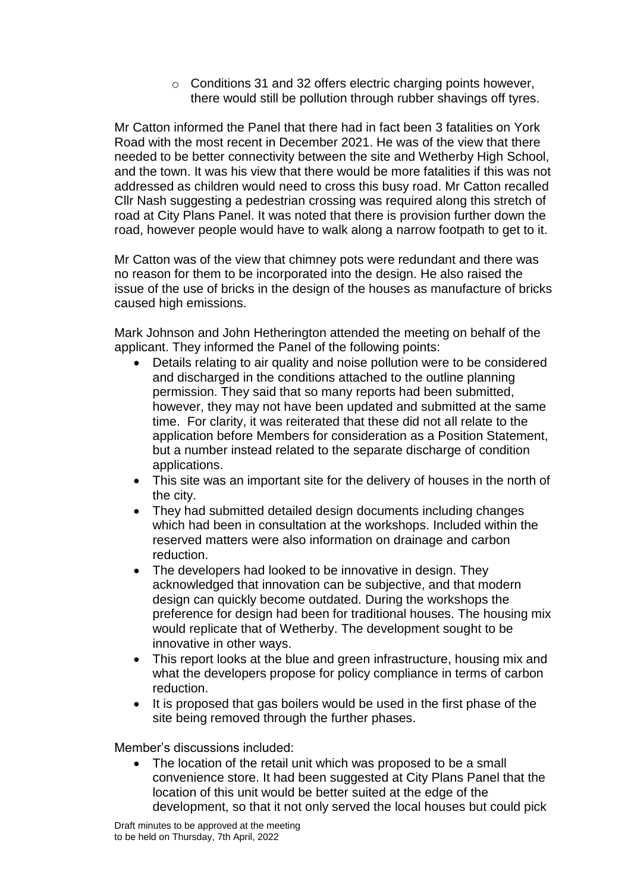o Conditions 31 and 32 offers electric charging points however, there would still be pollution through rubber shavings off tyres.

Mr Catton informed the Panel that there had in fact been 3 fatalities on York Road with the most recent in December 2021. He was of the view that there needed to be better connectivity between the site and Wetherby High School, and the town. It was his view that there would be more fatalities if this was not addressed as children would need to cross this busy road. Mr Catton recalled Cllr Nash suggesting a pedestrian crossing was required along this stretch of road at City Plans Panel. It was noted that there is provision further down the road, however people would have to walk along a narrow footpath to get to it.

Mr Catton was of the view that chimney pots were redundant and there was no reason for them to be incorporated into the design. He also raised the issue of the use of bricks in the design of the houses as manufacture of bricks caused high emissions.

Mark Johnson and John Hetherington attended the meeting on behalf of the applicant. They informed the Panel of the following points:

- Details relating to air quality and noise pollution were to be considered and discharged in the conditions attached to the outline planning permission. They said that so many reports had been submitted, however, they may not have been updated and submitted at the same time. For clarity, it was reiterated that these did not all relate to the application before Members for consideration as a Position Statement, but a number instead related to the separate discharge of condition applications.
- This site was an important site for the delivery of houses in the north of the city.
- They had submitted detailed design documents including changes which had been in consultation at the workshops. Included within the reserved matters were also information on drainage and carbon reduction.
- The developers had looked to be innovative in design. They acknowledged that innovation can be subjective, and that modern design can quickly become outdated. During the workshops the preference for design had been for traditional houses. The housing mix would replicate that of Wetherby. The development sought to be innovative in other ways.
- This report looks at the blue and green infrastructure, housing mix and what the developers propose for policy compliance in terms of carbon reduction.
- It is proposed that gas boilers would be used in the first phase of the site being removed through the further phases.

Member's discussions included:

 The location of the retail unit which was proposed to be a small convenience store. It had been suggested at City Plans Panel that the location of this unit would be better suited at the edge of the development, so that it not only served the local houses but could pick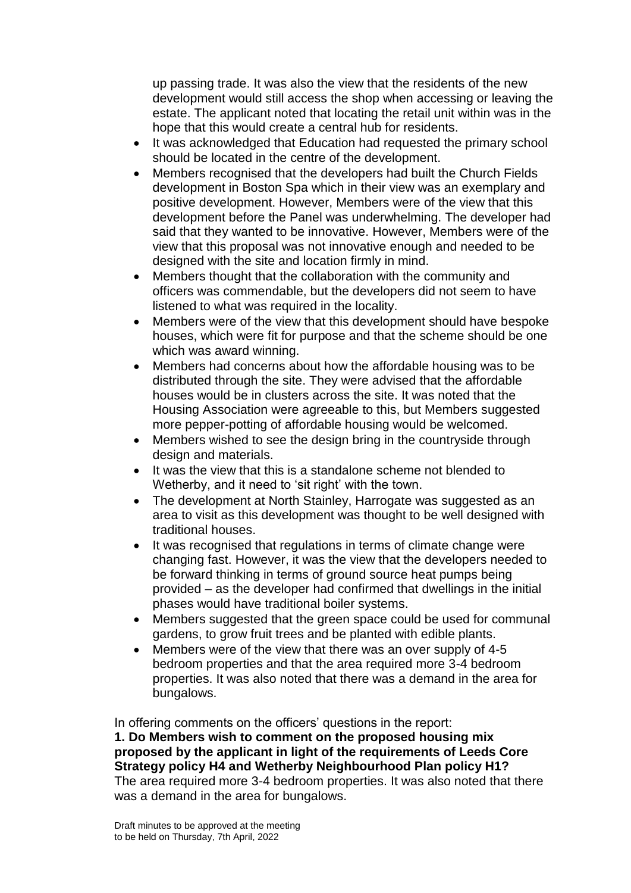up passing trade. It was also the view that the residents of the new development would still access the shop when accessing or leaving the estate. The applicant noted that locating the retail unit within was in the hope that this would create a central hub for residents.

- It was acknowledged that Education had requested the primary school should be located in the centre of the development.
- Members recognised that the developers had built the Church Fields development in Boston Spa which in their view was an exemplary and positive development. However, Members were of the view that this development before the Panel was underwhelming. The developer had said that they wanted to be innovative. However, Members were of the view that this proposal was not innovative enough and needed to be designed with the site and location firmly in mind.
- Members thought that the collaboration with the community and officers was commendable, but the developers did not seem to have listened to what was required in the locality.
- Members were of the view that this development should have bespoke houses, which were fit for purpose and that the scheme should be one which was award winning.
- Members had concerns about how the affordable housing was to be distributed through the site. They were advised that the affordable houses would be in clusters across the site. It was noted that the Housing Association were agreeable to this, but Members suggested more pepper-potting of affordable housing would be welcomed.
- Members wished to see the design bring in the countryside through design and materials.
- It was the view that this is a standalone scheme not blended to Wetherby, and it need to 'sit right' with the town.
- The development at North Stainley, Harrogate was suggested as an area to visit as this development was thought to be well designed with traditional houses.
- It was recognised that regulations in terms of climate change were changing fast. However, it was the view that the developers needed to be forward thinking in terms of ground source heat pumps being provided – as the developer had confirmed that dwellings in the initial phases would have traditional boiler systems.
- Members suggested that the green space could be used for communal gardens, to grow fruit trees and be planted with edible plants.
- Members were of the view that there was an over supply of 4-5 bedroom properties and that the area required more 3-4 bedroom properties. It was also noted that there was a demand in the area for bungalows.

In offering comments on the officers' questions in the report:

**1. Do Members wish to comment on the proposed housing mix proposed by the applicant in light of the requirements of Leeds Core Strategy policy H4 and Wetherby Neighbourhood Plan policy H1?** The area required more 3-4 bedroom properties. It was also noted that there was a demand in the area for bungalows.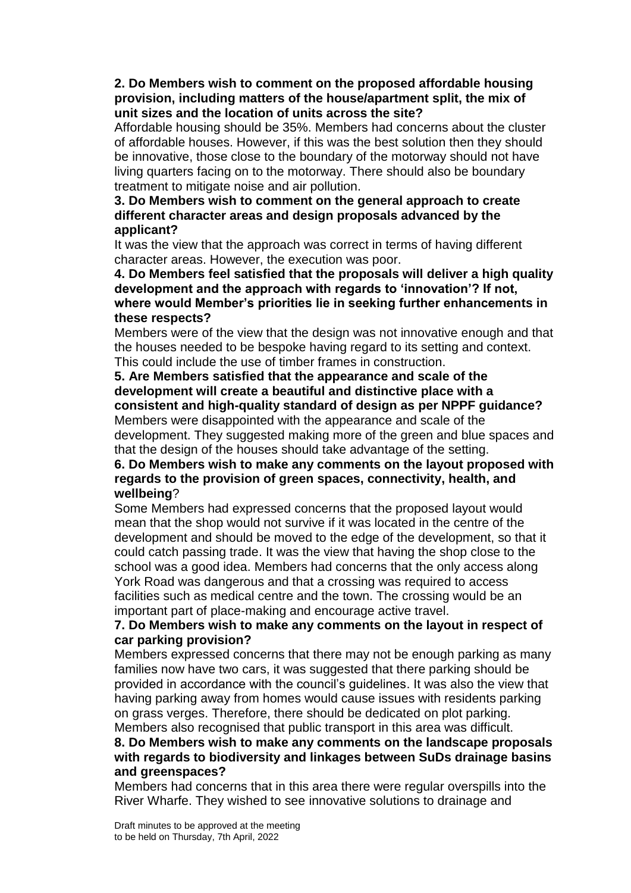### **2. Do Members wish to comment on the proposed affordable housing provision, including matters of the house/apartment split, the mix of unit sizes and the location of units across the site?**

Affordable housing should be 35%. Members had concerns about the cluster of affordable houses. However, if this was the best solution then they should be innovative, those close to the boundary of the motorway should not have living quarters facing on to the motorway. There should also be boundary treatment to mitigate noise and air pollution.

### **3. Do Members wish to comment on the general approach to create different character areas and design proposals advanced by the applicant?**

It was the view that the approach was correct in terms of having different character areas. However, the execution was poor.

**4. Do Members feel satisfied that the proposals will deliver a high quality development and the approach with regards to 'innovation'? If not, where would Member's priorities lie in seeking further enhancements in these respects?**

Members were of the view that the design was not innovative enough and that the houses needed to be bespoke having regard to its setting and context. This could include the use of timber frames in construction.

**5. Are Members satisfied that the appearance and scale of the development will create a beautiful and distinctive place with a consistent and high-quality standard of design as per NPPF guidance?** Members were disappointed with the appearance and scale of the

development. They suggested making more of the green and blue spaces and that the design of the houses should take advantage of the setting.

## **6. Do Members wish to make any comments on the layout proposed with regards to the provision of green spaces, connectivity, health, and wellbeing**?

Some Members had expressed concerns that the proposed layout would mean that the shop would not survive if it was located in the centre of the development and should be moved to the edge of the development, so that it could catch passing trade. It was the view that having the shop close to the school was a good idea. Members had concerns that the only access along York Road was dangerous and that a crossing was required to access facilities such as medical centre and the town. The crossing would be an important part of place-making and encourage active travel.

## **7. Do Members wish to make any comments on the layout in respect of car parking provision?**

Members expressed concerns that there may not be enough parking as many families now have two cars, it was suggested that there parking should be provided in accordance with the council's guidelines. It was also the view that having parking away from homes would cause issues with residents parking on grass verges. Therefore, there should be dedicated on plot parking. Members also recognised that public transport in this area was difficult.

# **8. Do Members wish to make any comments on the landscape proposals with regards to biodiversity and linkages between SuDs drainage basins and greenspaces?**

Members had concerns that in this area there were regular overspills into the River Wharfe. They wished to see innovative solutions to drainage and